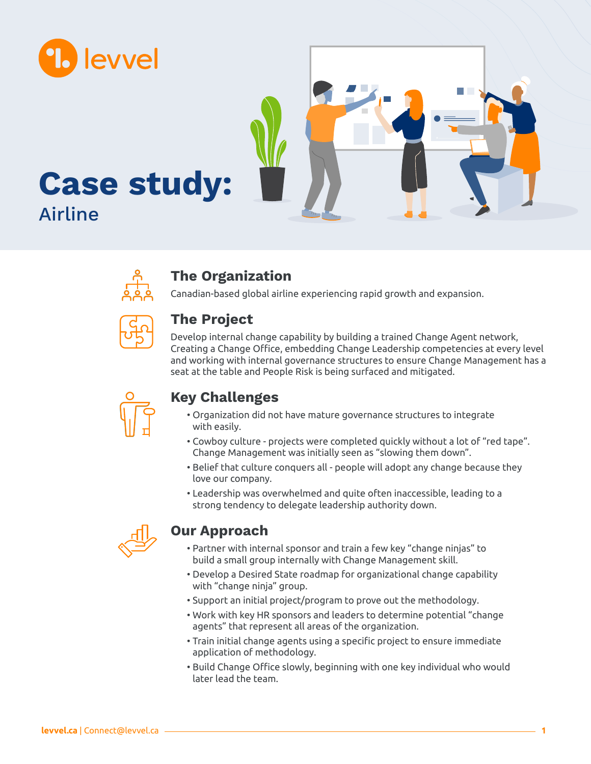



### **The Organization**

Canadian-based global airline experiencing rapid growth and expansion.



# **The Project**

Develop internal change capability by building a trained Change Agent network, Creating a Change Office, embedding Change Leadership competencies at every level and working with internal governance structures to ensure Change Management has a seat at the table and People Risk is being surfaced and mitigated.



# **Key Challenges**

- Organization did not have mature governance structures to integrate with easily.
- Cowboy culture projects were completed quickly without a lot of "red tape". Change Management was initially seen as "slowing them down".
- Belief that culture conquers all people will adopt any change because they love our company.
- Leadership was overwhelmed and quite often inaccessible, leading to a strong tendency to delegate leadership authority down.



# **Our Approach**

- Partner with internal sponsor and train a few key "change ninjas" to build a small group internally with Change Management skill.
- Develop a Desired State roadmap for organizational change capability with "change ninja" group.
- Support an initial project/program to prove out the methodology.
- Work with key HR sponsors and leaders to determine potential "change agents" that represent all areas of the organization.
- Train initial change agents using a specific project to ensure immediate application of methodology.
- Build Change Office slowly, beginning with one key individual who would later lead the team.